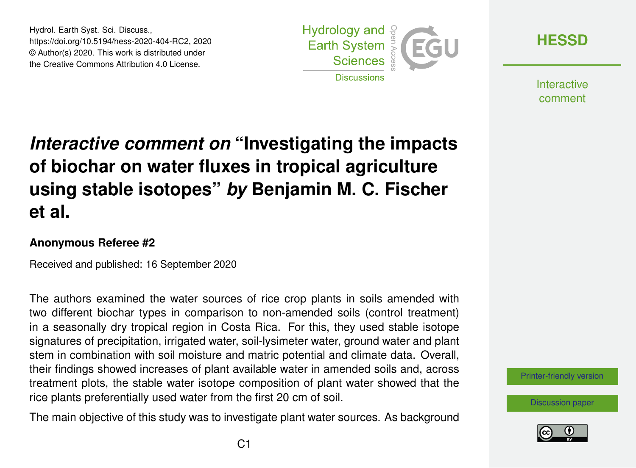Hydrol. Earth Syst. Sci. Discuss., https://doi.org/10.5194/hess-2020-404-RC2, 2020 © Author(s) 2020. This work is distributed under the Creative Commons Attribution 4.0 License.



**[HESSD](https://hess.copernicus.org/preprints/)**

**Interactive** comment

# *Interactive comment on* **"Investigating the impacts of biochar on water fluxes in tropical agriculture using stable isotopes"** *by* **Benjamin M. C. Fischer et al.**

#### **Anonymous Referee #2**

Received and published: 16 September 2020

The authors examined the water sources of rice crop plants in soils amended with two different biochar types in comparison to non-amended soils (control treatment) in a seasonally dry tropical region in Costa Rica. For this, they used stable isotope signatures of precipitation, irrigated water, soil-lysimeter water, ground water and plant stem in combination with soil moisture and matric potential and climate data. Overall, their findings showed increases of plant available water in amended soils and, across treatment plots, the stable water isotope composition of plant water showed that the rice plants preferentially used water from the first 20 cm of soil.

The main objective of this study was to investigate plant water sources. As background



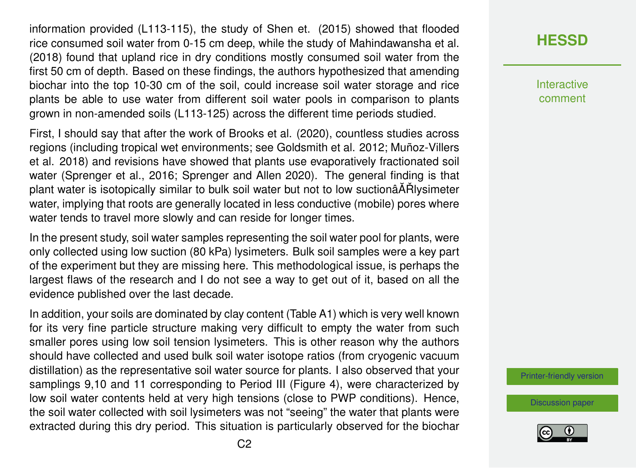information provided (L113-115), the study of Shen et. (2015) showed that flooded rice consumed soil water from 0-15 cm deep, while the study of Mahindawansha et al. (2018) found that upland rice in dry conditions mostly consumed soil water from the first 50 cm of depth. Based on these findings, the authors hypothesized that amending biochar into the top 10-30 cm of the soil, could increase soil water storage and rice plants be able to use water from different soil water pools in comparison to plants grown in non-amended soils (L113-125) across the different time periods studied.

First, I should say that after the work of Brooks et al. (2020), countless studies across regions (including tropical wet environments; see Goldsmith et al. 2012; Muñoz-Villers et al. 2018) and revisions have showed that plants use evaporatively fractionated soil water (Sprenger et al., 2016; Sprenger and Allen 2020). The general finding is that plant water is isotopically similar to bulk soil water but not to low suctionâ $\tilde{A}$  Rlysimeter water, implying that roots are generally located in less conductive (mobile) pores where water tends to travel more slowly and can reside for longer times.

In the present study, soil water samples representing the soil water pool for plants, were only collected using low suction (80 kPa) lysimeters. Bulk soil samples were a key part of the experiment but they are missing here. This methodological issue, is perhaps the largest flaws of the research and I do not see a way to get out of it, based on all the evidence published over the last decade.

In addition, your soils are dominated by clay content (Table A1) which is very well known for its very fine particle structure making very difficult to empty the water from such smaller pores using low soil tension lysimeters. This is other reason why the authors should have collected and used bulk soil water isotope ratios (from cryogenic vacuum distillation) as the representative soil water source for plants. I also observed that your samplings 9,10 and 11 corresponding to Period III (Figure 4), were characterized by low soil water contents held at very high tensions (close to PWP conditions). Hence, the soil water collected with soil lysimeters was not "seeing" the water that plants were extracted during this dry period. This situation is particularly observed for the biochar

## **[HESSD](https://hess.copernicus.org/preprints/)**

Interactive comment

[Printer-friendly version](https://hess.copernicus.org/preprints/hess-2020-404/hess-2020-404-RC2-print.pdf)

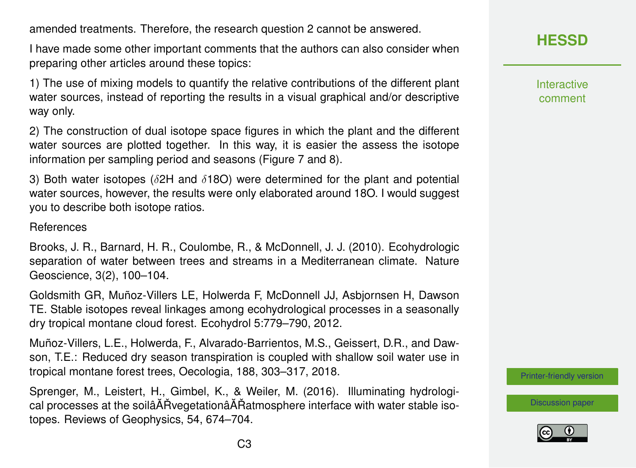amended treatments. Therefore, the research question 2 cannot be answered.

I have made some other important comments that the authors can also consider when preparing other articles around these topics:

1) The use of mixing models to quantify the relative contributions of the different plant water sources, instead of reporting the results in a visual graphical and/or descriptive way only.

2) The construction of dual isotope space figures in which the plant and the different water sources are plotted together. In this way, it is easier the assess the isotope information per sampling period and seasons (Figure 7 and 8).

3) Both water isotopes ( $\delta$ 2H and  $\delta$ 18O) were determined for the plant and potential water sources, however, the results were only elaborated around 18O. I would suggest you to describe both isotope ratios.

#### References

Brooks, J. R., Barnard, H. R., Coulombe, R., & McDonnell, J. J. (2010). Ecohydrologic separation of water between trees and streams in a Mediterranean climate. Nature Geoscience, 3(2), 100–104.

Goldsmith GR, Muñoz-Villers LE, Holwerda F, McDonnell JJ, Asbjornsen H, Dawson TE. Stable isotopes reveal linkages among ecohydrological processes in a seasonally dry tropical montane cloud forest. Ecohydrol 5:779–790, 2012.

Muñoz-Villers, L.E., Holwerda, F., Alvarado-Barrientos, M.S., Geissert, D.R., and Dawson, T.E.: Reduced dry season transpiration is coupled with shallow soil water use in tropical montane forest trees, Oecologia, 188, 303–317, 2018.

Sprenger, M., Leistert, H., Gimbel, K., & Weiler, M. (2016). Illuminating hydrological processes at the soilâ $\tilde{A}$  Rvegetationâ $\tilde{A}$ Ratmosphere interface with water stable isotopes. Reviews of Geophysics, 54, 674–704.

Interactive comment

[Printer-friendly version](https://hess.copernicus.org/preprints/hess-2020-404/hess-2020-404-RC2-print.pdf)